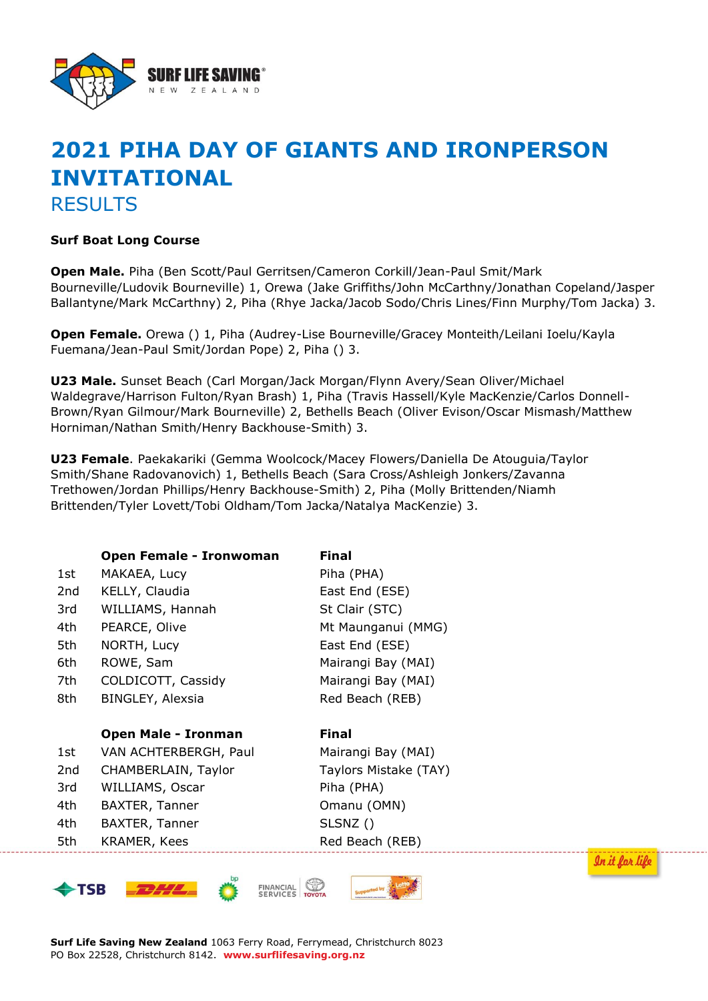

## **2021 PIHA DAY OF GIANTS AND IRONPERSON INVITATIONAL** RESULTS

## **Surf Boat Long Course**

**Open Male.** Piha (Ben Scott/Paul Gerritsen/Cameron Corkill/Jean-Paul Smit/Mark Bourneville/Ludovik Bourneville) 1, Orewa (Jake Griffiths/John McCarthny/Jonathan Copeland/Jasper Ballantyne/Mark McCarthny) 2, Piha (Rhye Jacka/Jacob Sodo/Chris Lines/Finn Murphy/Tom Jacka) 3.

**Open Female.** Orewa () 1, Piha (Audrey-Lise Bourneville/Gracey Monteith/Leilani Ioelu/Kayla Fuemana/Jean-Paul Smit/Jordan Pope) 2, Piha () 3.

**U23 Male.** Sunset Beach (Carl Morgan/Jack Morgan/Flynn Avery/Sean Oliver/Michael Waldegrave/Harrison Fulton/Ryan Brash) 1, Piha (Travis Hassell/Kyle MacKenzie/Carlos Donnell-Brown/Ryan Gilmour/Mark Bourneville) 2, Bethells Beach (Oliver Evison/Oscar Mismash/Matthew Horniman/Nathan Smith/Henry Backhouse-Smith) 3.

**U23 Female**. Paekakariki (Gemma Woolcock/Macey Flowers/Daniella De Atouguia/Taylor Smith/Shane Radovanovich) 1, Bethells Beach (Sara Cross/Ashleigh Jonkers/Zavanna Trethowen/Jordan Phillips/Henry Backhouse-Smith) 2, Piha (Molly Brittenden/Niamh Brittenden/Tyler Lovett/Tobi Oldham/Tom Jacka/Natalya MacKenzie) 3.

|     | Open Female - Ironwoman    | <b>Final</b>          |
|-----|----------------------------|-----------------------|
| 1st | MAKAEA, Lucy               | Piha (PHA)            |
| 2nd | KELLY, Claudia             | East End (ESE)        |
| 3rd | WILLIAMS, Hannah           | St Clair (STC)        |
| 4th | PEARCE, Olive              | Mt Maunganui (MMG)    |
| 5th | NORTH, Lucy                | East End (ESE)        |
| 6th | ROWE, Sam                  | Mairangi Bay (MAI)    |
| 7th | COLDICOTT, Cassidy         | Mairangi Bay (MAI)    |
| 8th | BINGLEY, Alexsia           | Red Beach (REB)       |
|     |                            |                       |
|     | <b>Open Male - Ironman</b> | <b>Final</b>          |
| 1st | VAN ACHTERBERGH, Paul      | Mairangi Bay (MAI)    |
| 2nd | CHAMBERLAIN, Taylor        | Taylors Mistake (TAY) |
| 3rd | WILLIAMS, Oscar            | Piha (PHA)            |
| 4th | BAXTER, Tanner             | Omanu (OMN)           |
| 4th | BAXTER, Tanner             | SLSNZ()               |
| 5th | KRAMER, Kees               | Red Beach (REB)       |
|     |                            |                       |